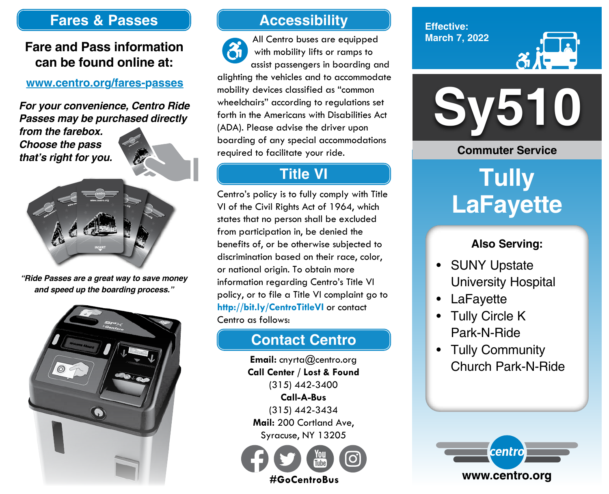### **Fares & Passes**

### **Fare and Pass information can be found online at:**

### **www.centro.org/fares-passes**

*For your convenience, Centro Ride Passes may be purchased directly from the farebox. Choose the pass that's right for you.*



*"Ride Passes are a great way to save money and speed up the boarding process."*



## **Accessibility**

All Centro buses are equipped with mobility lifts or ramps to assist passengers in boarding and alighting the vehicles and to accommodate mobility devices classified as "common

wheelchairs" according to regulations set forth in the Americans with Disabilities Act (ADA). Please advise the driver upon boarding of any special accommodations required to facilitate your ride.

## **Title VI**

Centro's policy is to fully comply with Title VI of the Civil Rights Act of 1964, which states that no person shall be excluded from participation in, be denied the benefits of, or be otherwise subjected to discrimination based on their race, color, or national origin. To obtain more information regarding Centro's Title VI policy, or to file a Title VI complaint go to **http://bit.ly/CentroTitleVI** or contact Centro as follows:

## **Contact Centro**

**Email:** cnyrta@centro.org **Call Center / Lost & Found** (315) 442-3400 **Call-A-Bus** (315) 442-3434 **Mail:** 200 Cortland Ave, Syracuse, NY 13205



#GoCentroBus

**Effective: March 7, 2022**



### **Commuter Service**

# **Tully LaFayette**

### **Also Serving:**

- SUNY Upstate University Hospital
- **LaFayette**
- Tully Circle K Park-N-Ride
- Tully Community Church Park-N-Ride